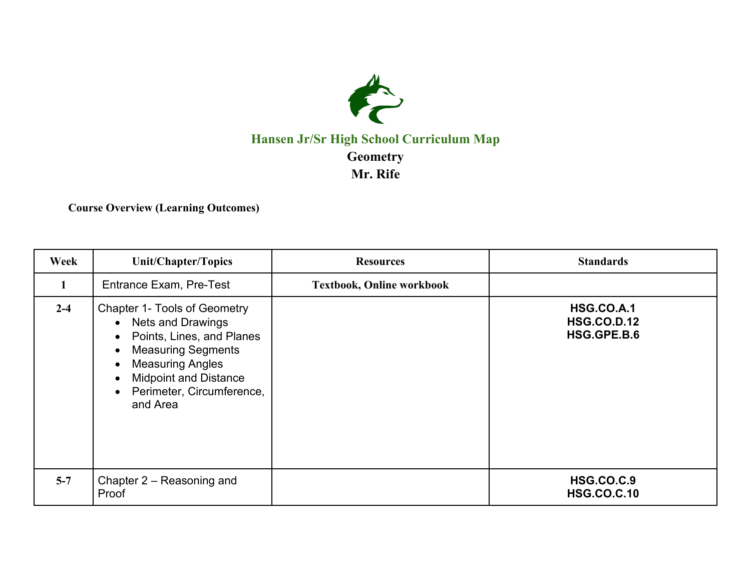

## **Hansen Jr/Sr High School Curriculum Map Geometry Mr. Rife**

**Course Overview (Learning Outcomes)**

| Week    | <b>Unit/Chapter/Topics</b>                                                                                                                                                                                                                                                                | <b>Resources</b>                 | <b>Standards</b>                                       |
|---------|-------------------------------------------------------------------------------------------------------------------------------------------------------------------------------------------------------------------------------------------------------------------------------------------|----------------------------------|--------------------------------------------------------|
| 1       | <b>Entrance Exam, Pre-Test</b>                                                                                                                                                                                                                                                            | <b>Textbook, Online workbook</b> |                                                        |
| $2 - 4$ | <b>Chapter 1- Tools of Geometry</b><br>• Nets and Drawings<br>Points, Lines, and Planes<br>$\bullet$<br><b>Measuring Segments</b><br>$\bullet$<br><b>Measuring Angles</b><br>$\bullet$<br><b>Midpoint and Distance</b><br>$\bullet$<br>Perimeter, Circumference,<br>$\bullet$<br>and Area |                                  | <b>HSG.CO.A.1</b><br><b>HSG.CO.D.12</b><br>HSG.GPE.B.6 |
| $5 - 7$ | Chapter 2 – Reasoning and<br>Proof                                                                                                                                                                                                                                                        |                                  | <b>HSG.CO.C.9</b><br><b>HSG.CO.C.10</b>                |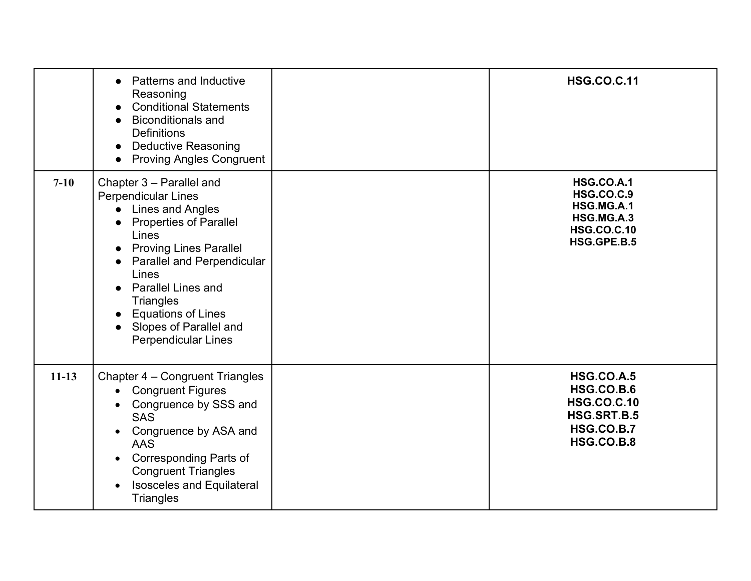|         | <b>Patterns and Inductive</b><br>$\bullet$<br>Reasoning<br><b>Conditional Statements</b><br><b>Biconditionals and</b><br><b>Definitions</b><br><b>Deductive Reasoning</b><br>$\bullet$<br><b>Proving Angles Congruent</b><br>$\bullet$                                                                                                                                                        | <b>HSG.CO.C.11</b>                                                                                                    |
|---------|-----------------------------------------------------------------------------------------------------------------------------------------------------------------------------------------------------------------------------------------------------------------------------------------------------------------------------------------------------------------------------------------------|-----------------------------------------------------------------------------------------------------------------------|
| $7-10$  | Chapter 3 - Parallel and<br><b>Perpendicular Lines</b><br>Lines and Angles<br><b>Properties of Parallel</b><br>Lines<br><b>Proving Lines Parallel</b><br>$\bullet$<br><b>Parallel and Perpendicular</b><br>$\bullet$<br>Lines<br><b>Parallel Lines and</b><br>$\bullet$<br><b>Triangles</b><br><b>Equations of Lines</b><br>Slopes of Parallel and<br>$\bullet$<br><b>Perpendicular Lines</b> | <b>HSG.CO.A.1</b><br><b>HSG.CO.C.9</b><br>HSG.MG.A.1<br>HSG.MG.A.3<br><b>HSG.CO.C.10</b><br>HSG.GPE.B.5               |
| $11-13$ | Chapter 4 - Congruent Triangles<br><b>Congruent Figures</b><br>$\bullet$<br>Congruence by SSS and<br>$\bullet$<br><b>SAS</b><br>Congruence by ASA and<br>$\bullet$<br>AAS<br><b>Corresponding Parts of</b><br>$\bullet$<br><b>Congruent Triangles</b><br><b>Isosceles and Equilateral</b><br>$\bullet$<br><b>Triangles</b>                                                                    | <b>HSG.CO.A.5</b><br><b>HSG.CO.B.6</b><br><b>HSG.CO.C.10</b><br>HSG.SRT.B.5<br><b>HSG.CO.B.7</b><br><b>HSG.CO.B.8</b> |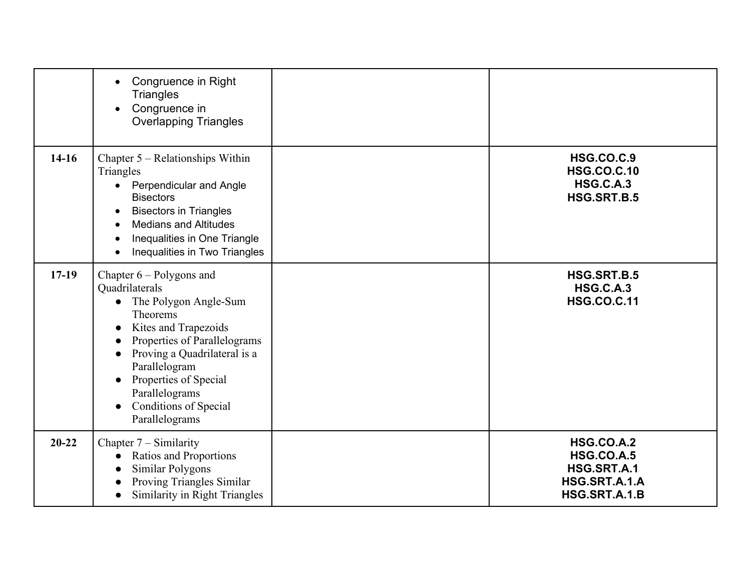|           | Congruence in Right<br>$\bullet$<br><b>Triangles</b><br>Congruence in<br>$\bullet$<br><b>Overlapping Triangles</b>                                                                                                                                                                                                                                  |                                                                                         |
|-----------|-----------------------------------------------------------------------------------------------------------------------------------------------------------------------------------------------------------------------------------------------------------------------------------------------------------------------------------------------------|-----------------------------------------------------------------------------------------|
| $14-16$   | Chapter $5 -$ Relationships Within<br>Triangles<br>Perpendicular and Angle<br>$\bullet$<br><b>Bisectors</b><br><b>Bisectors in Triangles</b><br>$\bullet$<br><b>Medians and Altitudes</b><br>Inequalities in One Triangle<br>Inequalities in Two Triangles                                                                                          | <b>HSG.CO.C.9</b><br><b>HSG.CO.C.10</b><br><b>HSG.C.A.3</b><br>HSG.SRT.B.5              |
| $17-19$   | Chapter $6 -$ Polygons and<br>Quadrilaterals<br>• The Polygon Angle-Sum<br>Theorems<br>Kites and Trapezoids<br>$\bullet$<br>Properties of Parallelograms<br>$\bullet$<br>Proving a Quadrilateral is a<br>$\bullet$<br>Parallelogram<br>Properties of Special<br>$\bullet$<br>Parallelograms<br>Conditions of Special<br>$\bullet$<br>Parallelograms | HSG.SRT.B.5<br><b>HSG.C.A.3</b><br><b>HSG.CO.C.11</b>                                   |
| $20 - 22$ | Chapter $7 -$ Similarity<br>Ratios and Proportions<br>Similar Polygons<br>Proving Triangles Similar<br>$\bullet$<br>Similarity in Right Triangles                                                                                                                                                                                                   | <b>HSG.CO.A.2</b><br><b>HSG.CO.A.5</b><br>HSG.SRT.A.1<br>HSG.SRT.A.1.A<br>HSG.SRT.A.1.B |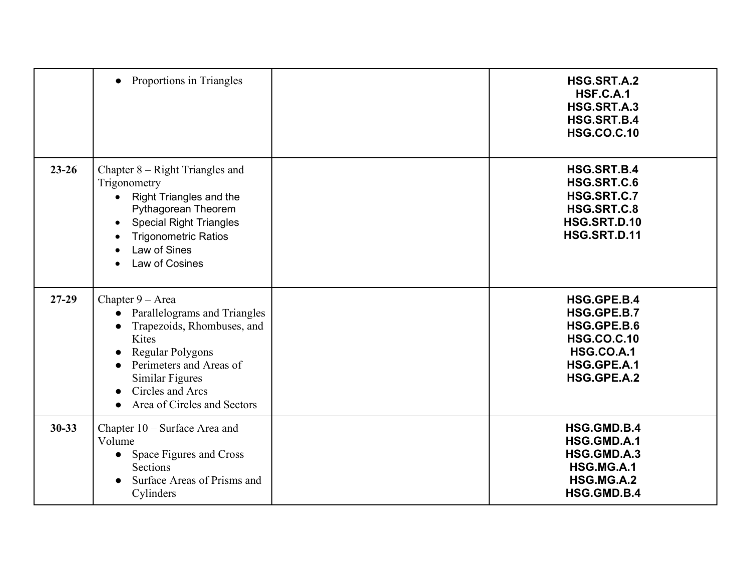|           | • Proportions in Triangles                                                                                                                                                                                                                           | HSG.SRT.A.2<br><b>HSF.C.A.1</b><br>HSG.SRT.A.3<br>HSG.SRT.B.4<br><b>HSG.CO.C.10</b>                                |
|-----------|------------------------------------------------------------------------------------------------------------------------------------------------------------------------------------------------------------------------------------------------------|--------------------------------------------------------------------------------------------------------------------|
| $23 - 26$ | Chapter $8 - Right$ Triangles and<br>Trigonometry<br><b>Right Triangles and the</b><br>$\bullet$<br>Pythagorean Theorem<br><b>Special Right Triangles</b><br>$\bullet$<br><b>Trigonometric Ratios</b><br>Law of Sines<br>Law of Cosines<br>$\bullet$ | HSG.SRT.B.4<br>HSG.SRT.C.6<br>HSG.SRT.C.7<br>HSG.SRT.C.8<br>HSG.SRT.D.10<br>HSG.SRT.D.11                           |
| $27-29$   | Chapter $9 - Area$<br>Parallelograms and Triangles<br>$\bullet$<br>Trapezoids, Rhombuses, and<br>Kites<br>Regular Polygons<br>Perimeters and Areas of<br>Similar Figures<br>Circles and Arcs<br>Area of Circles and Sectors                          | HSG.GPE.B.4<br>HSG.GPE.B.7<br>HSG.GPE.B.6<br><b>HSG.CO.C.10</b><br><b>HSG.CO.A.1</b><br>HSG.GPE.A.1<br>HSG.GPE.A.2 |
| $30 - 33$ | Chapter 10 - Surface Area and<br>Volume<br>• Space Figures and Cross<br><b>Sections</b><br>Surface Areas of Prisms and<br>$\bullet$<br>Cylinders                                                                                                     | HSG.GMD.B.4<br>HSG.GMD.A.1<br>HSG.GMD.A.3<br>HSG.MG.A.1<br>HSG.MG.A.2<br>HSG.GMD.B.4                               |